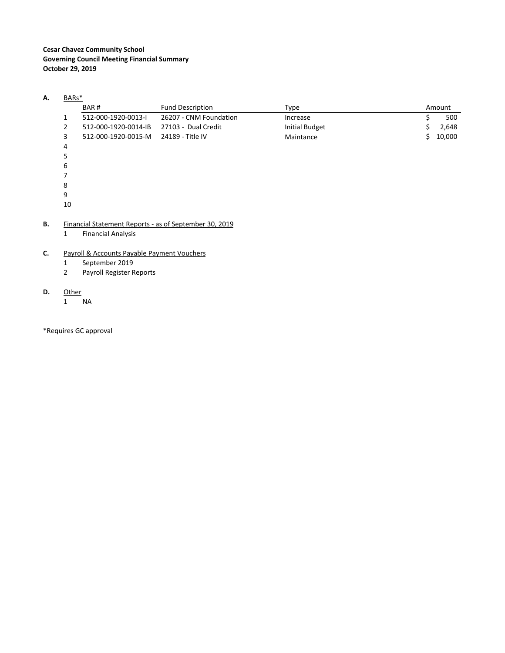#### **A.** BARs\*

|    | BAR#                 | <b>Fund Description</b> | Type                  |    | Amount |
|----|----------------------|-------------------------|-----------------------|----|--------|
| 1  | 512-000-1920-0013-I  | 26207 - CNM Foundation  | Increase              |    | 500    |
| 2  | 512-000-1920-0014-IB | 27103 - Dual Credit     | <b>Initial Budget</b> | S. | 2,648  |
| 3  | 512-000-1920-0015-M  | 24189 - Title IV        | Maintance             | S. | 10,000 |
| 4  |                      |                         |                       |    |        |
| 5  |                      |                         |                       |    |        |
| 6  |                      |                         |                       |    |        |
|    |                      |                         |                       |    |        |
| 8  |                      |                         |                       |    |        |
| 9  |                      |                         |                       |    |        |
| 10 |                      |                         |                       |    |        |

#### **B.** Financial Statement Reports ‐ as of September 30, 2019

1 Financial Analysis

#### **C.** Payroll & Accounts Payable Payment Vouchers

- 1 September 2019
- 2 Payroll Register Reports

#### **D.** Other

1 NA

\*Requires GC approval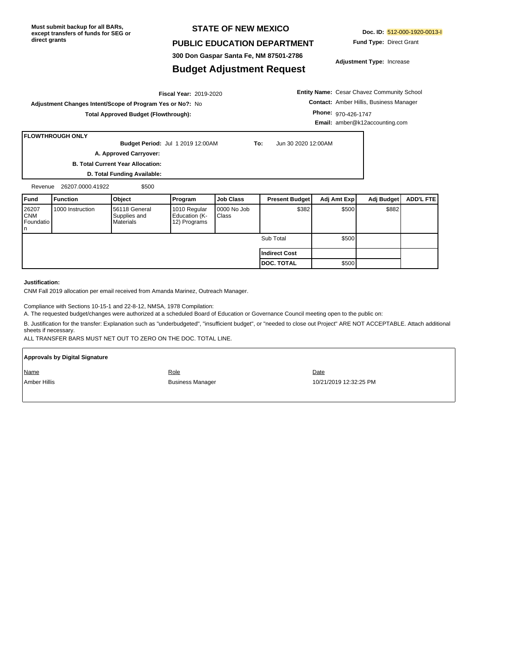**Must submit backup for all BARs, except transfers of funds for SEG or direct grants**

#### **STATE OF NEW MEXICO**

#### **PUBLIC EDUCATION DEPARTMENT**

**Doc. ID:** 512-000-1920-0013-I **Fund Type:** Direct Grant

**Adjustment Type:** Increase

# **300 Don Gaspar Santa Fe, NM 87501-2786 Budget Adjustment Request**

#### 2019-2020 **Fiscal Year: Adjustment Changes Intent/Scope of Program Yes or No?:** No **Total Approved Budget (Flowthrough):**

**Entity Name:** Cesar Chavez Community School **Contact:** Amber Hillis, Business Manager **Phone:** 970-426-1747 **Email:** amber@k12accounting.com

#### **FLOWTHROUGH ONLY**

**Budget Period:** Jul 1 2019 12:00AM **To:** Jun 30 2020 12:00AM **A. Approved Carryover:** 

**B. Total Current Year Allocation:**

**D. Total Funding Available:**

Revenue 26207.0000.41922 \$500

| Fund                                    | <b>Function</b>  | Object                                     | Program                                       | <b>Job Class</b>            | <b>Present Budget</b> | Adj Amt Exp | Adj Budget | ADD'L FTE |
|-----------------------------------------|------------------|--------------------------------------------|-----------------------------------------------|-----------------------------|-----------------------|-------------|------------|-----------|
| 26207<br><b>CNM</b><br>Foundatio<br>In. | 1000 Instruction | 56118 General<br>Supplies and<br>Materials | 1010 Regular<br>Education (K-<br>12) Programs | 0000 No Job<br><b>Class</b> | \$382                 | \$500       | \$882      |           |
|                                         |                  |                                            |                                               |                             | Sub Total             | \$500       |            |           |
|                                         |                  |                                            |                                               |                             | Indirect Cost         |             |            |           |
|                                         |                  |                                            |                                               |                             | <b>DOC. TOTAL</b>     | \$500       |            |           |

#### **Justification:**

r

CNM Fall 2019 allocation per email received from Amanda Marinez, Outreach Manager.

Compliance with Sections 10-15-1 and 22-8-12, NMSA, 1978 Compilation:

A. The requested budget/changes were authorized at a scheduled Board of Education or Governance Council meeting open to the public on:

B. Justification for the transfer: Explanation such as "underbudgeted", "insufficient budget", or "needed to close out Project" ARE NOT ACCEPTABLE. Attach additional sheets if necessary.

ALL TRANSFER BARS MUST NET OUT TO ZERO ON THE DOC. TOTAL LINE.

| Approvals by Digital Signature |                         |                        |  |  |  |  |  |  |  |
|--------------------------------|-------------------------|------------------------|--|--|--|--|--|--|--|
| Name                           | Role                    | Date                   |  |  |  |  |  |  |  |
| Amber Hillis                   | <b>Business Manager</b> | 10/21/2019 12:32:25 PM |  |  |  |  |  |  |  |
|                                |                         |                        |  |  |  |  |  |  |  |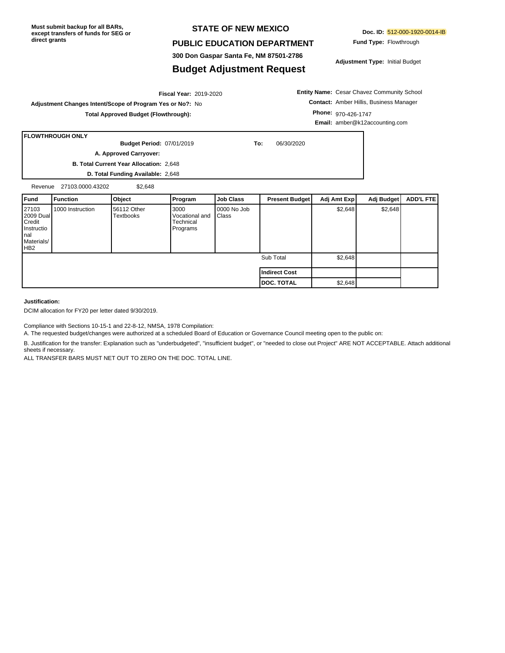**Must submit backup for all BARs, except transfers of funds for SEG or direct grants**

#### **STATE OF NEW MEXICO**

#### **PUBLIC EDUCATION DEPARTMENT**

**300 Don Gaspar Santa Fe, NM 87501-2786**

#### **Budget Adjustment Request**

**Doc. ID:** 512-000-1920-0014-IB **Fund Type:** Flowthrough

**Adjustment Type:** Initial Budget

**Entity Name:** Cesar Chavez Community School **Contact:** Amber Hillis, Business Manager **Phone:** 970-426-1747 **Email:** amber@k12accounting.com

٦

Sub Total \$2,648

**DOC. TOTAL** \$2,648

**Indirect Cost**

**Adjustment Changes Intent/Scope of Program Yes or No?:** No **Total Approved Budget (Flowthrough):**

|                                                                  | l FLOWTHROUGH ONLY     |                                  |                                                 |                      |     |                       |             |            |                  |
|------------------------------------------------------------------|------------------------|----------------------------------|-------------------------------------------------|----------------------|-----|-----------------------|-------------|------------|------------------|
|                                                                  |                        | <b>Budget Period: 07/01/2019</b> |                                                 |                      | To: | 06/30/2020            |             |            |                  |
|                                                                  | A. Approved Carryover: |                                  |                                                 |                      |     |                       |             |            |                  |
| <b>B. Total Current Year Allocation: 2,648</b>                   |                        |                                  |                                                 |                      |     |                       |             |            |                  |
| D. Total Funding Available: 2,648                                |                        |                                  |                                                 |                      |     |                       |             |            |                  |
| Revenue                                                          | 27103.0000.43202       | \$2.648                          |                                                 |                      |     |                       |             |            |                  |
| l Fund                                                           | <b>Function</b>        | Object                           | Program                                         | <b>Job Class</b>     |     | <b>Present Budget</b> | Adj Amt Exp | Adj Budget | <b>ADD'L FTE</b> |
| 27103<br>2009 Dual<br>Credit<br>Instructio<br>Inal<br>Materials/ | 1000 Instruction       | 56112 Other<br><b>Textbooks</b>  | 3000<br>Vocational and<br>Technical<br>Programs | 0000 No Job<br>Class |     |                       | \$2,648     | \$2,648    |                  |

2019-2020 **Fiscal Year:**

**Justification:**

HB2

DCIM allocation for FY20 per letter dated 9/30/2019.

Compliance with Sections 10-15-1 and 22-8-12, NMSA, 1978 Compilation:

A. The requested budget/changes were authorized at a scheduled Board of Education or Governance Council meeting open to the public on:

B. Justification for the transfer: Explanation such as "underbudgeted", "insufficient budget", or "needed to close out Project" ARE NOT ACCEPTABLE. Attach additional sheets if necessary.

ALL TRANSFER BARS MUST NET OUT TO ZERO ON THE DOC. TOTAL LINE.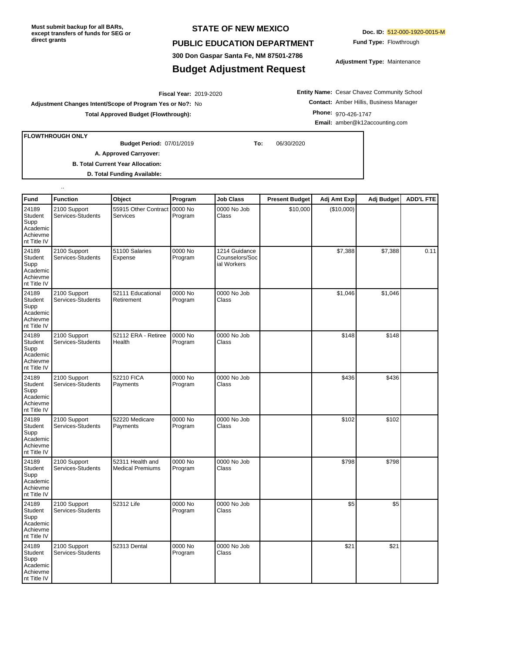**Must submit backup for all BARs, except transfers of funds for SEG or direct grants**

#### **STATE OF NEW MEXICO**

#### **PUBLIC EDUCATION DEPARTMENT**

**300 Don Gaspar Santa Fe, NM 87501-2786**

### **Budget Adjustment Request**

**Doc. ID:** 512-000-1920-0015-M

**Fund Type:** Flowthrough

**Adjustment Type:** Maintenance

2019-2020 **Fiscal Year: Adjustment Changes Intent/Scope of Program Yes or No?:** No **Total Approved Budget (Flowthrough):**

**Entity Name:** Cesar Chavez Community School **Contact:** Amber Hillis, Business Manager **Phone:** 970-426-1747 **Email:** amber@k12accounting.com

**FLOWTHROUGH ONLY**

..

07/01/2019 **To:** 06/30/2020 **Budget Period:**

**A. Approved Carryover:** 

**B. Total Current Year Allocation:**

**D. Total Funding Available:**

| <b>Fund</b>                                                            | <b>Function</b>                   | Object                                      | Program            | <b>Job Class</b>                               | <b>Present Budget</b> | Adj Amt Exp | Adj Budget | <b>ADD'L FTE</b> |
|------------------------------------------------------------------------|-----------------------------------|---------------------------------------------|--------------------|------------------------------------------------|-----------------------|-------------|------------|------------------|
| 24189<br><b>Student</b><br>Supp<br>Academic<br>Achievme<br>nt Title IV | 2100 Support<br>Services-Students | 55915 Other Contract<br><b>Services</b>     | 0000 No<br>Program | 0000 No Job<br>Class                           | \$10,000              | (\$10,000)  |            |                  |
| 24189<br>Student<br>Supp<br>Academic<br>Achievme<br>nt Title IV        | 2100 Support<br>Services-Students | 51100 Salaries<br>Expense                   | 0000 No<br>Program | 1214 Guidance<br>Counselors/Soc<br>ial Workers |                       | \$7,388     | \$7,388    | 0.11             |
| 24189<br><b>Student</b><br>Supp<br>Academic<br>Achievme<br>nt Title IV | 2100 Support<br>Services-Students | 52111 Educational<br>Retirement             | 0000 No<br>Program | 0000 No Job<br>Class                           |                       | \$1,046     | \$1,046    |                  |
| 24189<br>Student<br>Supp<br>Academic<br>Achievme<br>nt Title IV        | 2100 Support<br>Services-Students | 52112 ERA - Retiree<br>Health               | 0000 No<br>Program | 0000 No Job<br>Class                           |                       | \$148       | \$148      |                  |
| 24189<br>Student<br>Supp<br>Academic<br>Achievme<br>nt Title IV        | 2100 Support<br>Services-Students | 52210 FICA<br>Payments                      | 0000 No<br>Program | 0000 No Job<br>Class                           |                       | \$436       | \$436      |                  |
| 24189<br>Student<br>Supp<br>Academic<br>Achievme<br>nt Title IV        | 2100 Support<br>Services-Students | 52220 Medicare<br>Payments                  | 0000 No<br>Program | 0000 No Job<br>Class                           |                       | \$102       | \$102      |                  |
| 24189<br>Student<br>Supp<br>Academic<br>Achievme<br>nt Title IV        | 2100 Support<br>Services-Students | 52311 Health and<br><b>Medical Premiums</b> | 0000 No<br>Program | 0000 No Job<br>Class                           |                       | \$798       | \$798      |                  |
| 24189<br><b>Student</b><br>Supp<br>Academic<br>Achievme<br>nt Title IV | 2100 Support<br>Services-Students | 52312 Life                                  | 0000 No<br>Program | 0000 No Job<br>Class                           |                       | \$5         | \$5        |                  |
| 24189<br>Student<br>Supp<br>Academic<br>Achievme<br>nt Title IV        | 2100 Support<br>Services-Students | 52313 Dental                                | 0000 No<br>Program | 0000 No Job<br>Class                           |                       | \$21        | \$21       |                  |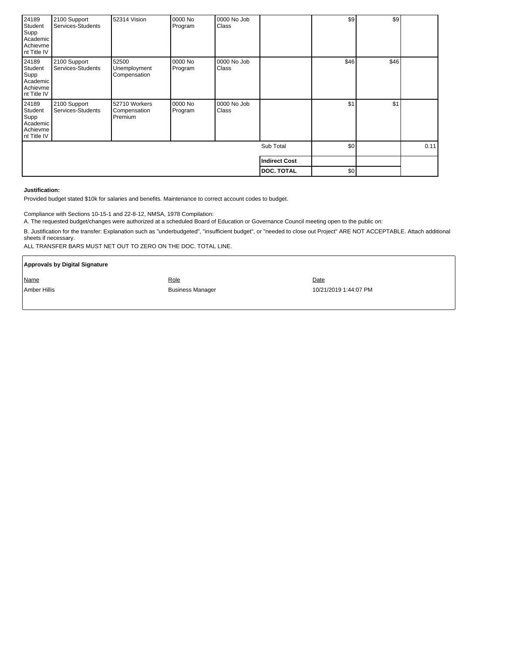| 24189<br>Student<br>Supp<br>Academic<br>Achievme<br>nt Title IV | 2100 Support<br>Services-Students | 52314 Vision                             | 0000 No<br>Program | 0000 No Job<br><b>Class</b> |                      | s <sub>9</sub> | \$9  |  |
|-----------------------------------------------------------------|-----------------------------------|------------------------------------------|--------------------|-----------------------------|----------------------|----------------|------|--|
| 24189<br>Student<br>Supp<br>Academic<br>Achievme<br>nt Title IV | 2100 Support<br>Services-Students | 52500<br>Unemployment<br>Compensation    | 0000 No<br>Program | 0000 No Job<br>Class        |                      | \$46           | \$46 |  |
| 24189<br>Student<br>Supp<br>Academic<br>Achievme<br>nt Title IV | 2100 Support<br>Services-Students | 52710 Workers<br>Compensation<br>Premium | 0000 No<br>Program | 0000 No Job<br>Class        |                      | \$1            | \$1  |  |
|                                                                 |                                   |                                          | Sub Total          | \$0                         |                      | 0.11           |      |  |
|                                                                 |                                   |                                          |                    |                             | <b>Indirect Cost</b> |                |      |  |
|                                                                 |                                   |                                          |                    |                             | <b>DOC. TOTAL</b>    | \$0            |      |  |

#### **Justification:**

Provided budget stated \$10k for salaries and benefits. Maintenance to correct account codes to budget.

Compliance with Sections 10-15-1 and 22-8-12, NMSA, 1978 Compilation:

A. The requested budget/changes were authorized at a scheduled Board of Education or Governance Council meeting open to the public on:

B. Justification for the transfer: Explanation such as "underbudgeted", "insufficient budget", or "needed to close out Project" ARE NOT ACCEPTABLE. Attach additional sheets if necessary.

ALL TRANSFER BARS MUST NET OUT TO ZERO ON THE DOC. TOTAL LINE.

| <b>Approvals by Digital Signature</b> |                         |                       |
|---------------------------------------|-------------------------|-----------------------|
| Name                                  | Role                    | Date                  |
| Amber Hillis                          | <b>Business Manager</b> | 10/21/2019 1:44:07 PM |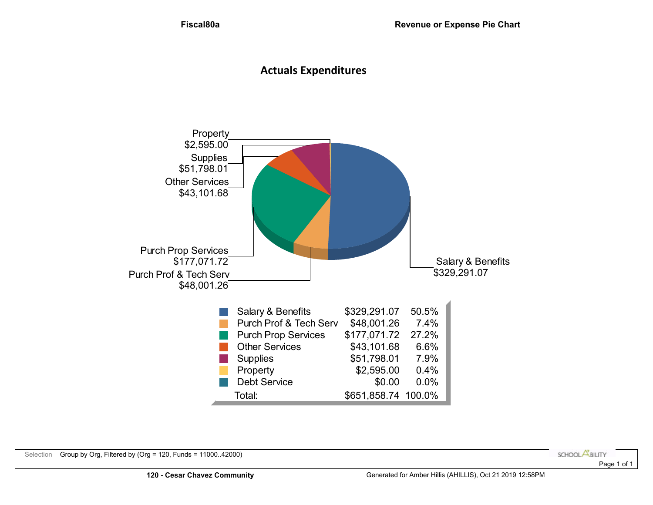# **Actuals Expenditures**

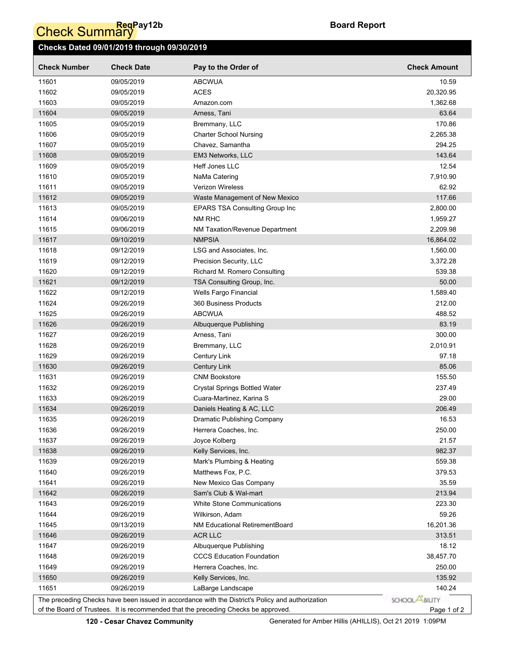# **Check Summary**

## **Checks Dated 09/01/2019 through 09/30/2019**

| <b>Check Number</b> | <b>Check Date</b> | Pay to the Order of                                                                                                                                                                    | <b>Check Amount</b>   |
|---------------------|-------------------|----------------------------------------------------------------------------------------------------------------------------------------------------------------------------------------|-----------------------|
| 11601               | 09/05/2019        | <b>ABCWUA</b>                                                                                                                                                                          | 10.59                 |
| 11602               | 09/05/2019        | <b>ACES</b>                                                                                                                                                                            | 20,320.95             |
| 11603               | 09/05/2019        | Amazon.com                                                                                                                                                                             | 1,362.68              |
| 11604               | 09/05/2019        | Arness, Tani                                                                                                                                                                           | 63.64                 |
| 11605               | 09/05/2019        | Bremmany, LLC                                                                                                                                                                          | 170.86                |
| 11606               | 09/05/2019        | <b>Charter School Nursing</b>                                                                                                                                                          | 2,265.38              |
| 11607               | 09/05/2019        | Chavez, Samantha                                                                                                                                                                       | 294.25                |
| 11608               | 09/05/2019        | EM3 Networks, LLC                                                                                                                                                                      | 143.64                |
| 11609               | 09/05/2019        | Heff Jones LLC                                                                                                                                                                         | 12.54                 |
| 11610               | 09/05/2019        | NaMa Catering                                                                                                                                                                          | 7,910.90              |
| 11611               | 09/05/2019        | Verizon Wireless                                                                                                                                                                       | 62.92                 |
| 11612               | 09/05/2019        | Waste Management of New Mexico                                                                                                                                                         | 117.66                |
| 11613               | 09/05/2019        | <b>EPARS TSA Consulting Group Inc</b>                                                                                                                                                  | 2,800.00              |
| 11614               | 09/06/2019        | NM RHC                                                                                                                                                                                 | 1,959.27              |
| 11615               | 09/06/2019        | NM Taxation/Revenue Department                                                                                                                                                         | 2,209.98              |
| 11617               | 09/10/2019        | <b>NMPSIA</b>                                                                                                                                                                          | 16,864.02             |
| 11618               | 09/12/2019        | LSG and Associates, Inc.                                                                                                                                                               | 1,560.00              |
| 11619               | 09/12/2019        | Precision Security, LLC                                                                                                                                                                | 3,372.28              |
| 11620               | 09/12/2019        | Richard M. Romero Consulting                                                                                                                                                           | 539.38                |
| 11621               | 09/12/2019        | TSA Consulting Group, Inc.                                                                                                                                                             | 50.00                 |
| 11622               | 09/12/2019        | Wells Fargo Financial                                                                                                                                                                  | 1,589.40              |
| 11624               | 09/26/2019        | 360 Business Products                                                                                                                                                                  | 212.00                |
| 11625               | 09/26/2019        | <b>ABCWUA</b>                                                                                                                                                                          | 488.52                |
| 11626               | 09/26/2019        | Albuquerque Publishing                                                                                                                                                                 | 83.19                 |
| 11627               | 09/26/2019        | Arness, Tani                                                                                                                                                                           | 300.00                |
| 11628               | 09/26/2019        | Bremmany, LLC                                                                                                                                                                          | 2,010.91              |
| 11629               | 09/26/2019        | Century Link                                                                                                                                                                           | 97.18                 |
| 11630               | 09/26/2019        | <b>Century Link</b>                                                                                                                                                                    | 85.06                 |
| 11631               | 09/26/2019        | <b>CNM Bookstore</b>                                                                                                                                                                   | 155.50                |
| 11632               | 09/26/2019        | <b>Crystal Springs Bottled Water</b>                                                                                                                                                   | 237.49                |
| 11633               | 09/26/2019        | Cuara-Martinez, Karina S                                                                                                                                                               | 29.00                 |
| 11634               | 09/26/2019        | Daniels Heating & AC, LLC                                                                                                                                                              | 206.49                |
| 11635               | 09/26/2019        | <b>Dramatic Publishing Company</b>                                                                                                                                                     | 16.53                 |
| 11636               | 09/26/2019        | Herrera Coaches, Inc.                                                                                                                                                                  | 250.00                |
| 11637               | 09/26/2019        | Joyce Kolberg                                                                                                                                                                          | 21.57                 |
| 11638               | 09/26/2019        | Kelly Services, Inc.                                                                                                                                                                   | 982.37                |
| 11639               | 09/26/2019        | Mark's Plumbing & Heating                                                                                                                                                              | 559.38                |
| 11640               | 09/26/2019        | Matthews Fox, P.C.                                                                                                                                                                     | 379.53                |
| 11641               | 09/26/2019        | New Mexico Gas Company                                                                                                                                                                 | 35.59                 |
| 11642               | 09/26/2019        | Sam's Club & Wal-mart                                                                                                                                                                  | 213.94                |
| 11643               | 09/26/2019        | <b>White Stone Communications</b>                                                                                                                                                      | 223.30                |
| 11644               | 09/26/2019        | Wilkirson, Adam                                                                                                                                                                        | 59.26                 |
| 11645               | 09/13/2019        | <b>NM Educational RetirementBoard</b>                                                                                                                                                  | 16,201.36             |
| 11646               | 09/26/2019        | ACR LLC                                                                                                                                                                                | 313.51                |
| 11647               | 09/26/2019        | Albuquerque Publishing                                                                                                                                                                 | 18.12                 |
| 11648               | 09/26/2019        | <b>CCCS Education Foundation</b>                                                                                                                                                       | 38,457.70             |
| 11649               | 09/26/2019        | Herrera Coaches, Inc.                                                                                                                                                                  | 250.00                |
| 11650               | 09/26/2019        | Kelly Services, Inc.                                                                                                                                                                   | 135.92                |
| 11651               | 09/26/2019        | LaBarge Landscape                                                                                                                                                                      | 140.24                |
|                     |                   |                                                                                                                                                                                        | SCHOOL <b>ABILITY</b> |
|                     |                   | The preceding Checks have been issued in accordance with the District's Policy and authorization<br>of the Board of Trustees. It is recommended that the preceding Checks be approved. |                       |
|                     |                   |                                                                                                                                                                                        | Page 1 of 2           |

**120 - Cesar Chavez Community** Generated for Amber Hillis (AHILLIS), Oct 21 2019 1:09PM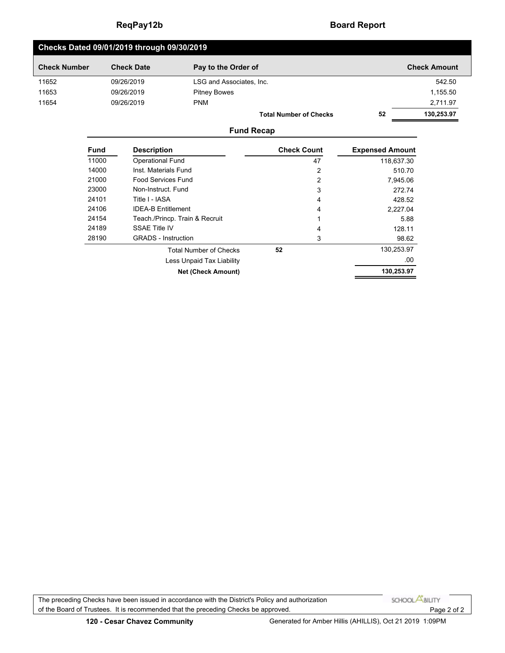The preceding Checks have been issued in accordance with the District's Policy and authorization

of the Board of Trustees. It is recommended that the preceding Checks be approved.

# **ReqPay12b Board Report**

| Checks Dated 09/01/2019 through 09/30/2019 |                               |    |                     |  |  |  |  |  |
|--------------------------------------------|-------------------------------|----|---------------------|--|--|--|--|--|
| <b>Check Date</b>                          | Pay to the Order of           |    | <b>Check Amount</b> |  |  |  |  |  |
| 09/26/2019                                 | LSG and Associates, Inc.      |    | 542.50              |  |  |  |  |  |
| 09/26/2019                                 | <b>Pitney Bowes</b>           |    | 1,155.50            |  |  |  |  |  |
| 09/26/2019                                 | <b>PNM</b>                    |    | 2,711.97            |  |  |  |  |  |
|                                            | <b>Total Number of Checks</b> | 52 | 130,253.97          |  |  |  |  |  |
|                                            |                               |    |                     |  |  |  |  |  |

### **Fund Recap**

| <b>Fund</b> | <b>Description</b>              | <b>Check Count</b> | <b>Expensed Amount</b> |
|-------------|---------------------------------|--------------------|------------------------|
| 11000       | <b>Operational Fund</b>         | 47                 | 118,637.30             |
| 14000       | Inst. Materials Fund            | 2                  | 510.70                 |
| 21000       | Food Services Fund              | $\overline{2}$     | 7,945.06               |
| 23000       | Non-Instruct Fund               | 3                  | 272.74                 |
| 24101       | Title I - IASA                  | 4                  | 428.52                 |
| 24106       | <b>IDEA-B Entitlement</b>       | 4                  | 2.227.04               |
| 24154       | Teach / Princp. Train & Recruit | 1                  | 5.88                   |
| 24189       | <b>SSAE Title IV</b>            | 4                  | 128.11                 |
| 28190       | <b>GRADS</b> - Instruction      | 3                  | 98.62                  |
|             | <b>Total Number of Checks</b>   | 52                 | 130,253.97             |
|             | Less Unpaid Tax Liability       |                    | .00                    |
|             | <b>Net (Check Amount)</b>       |                    | 130,253.97             |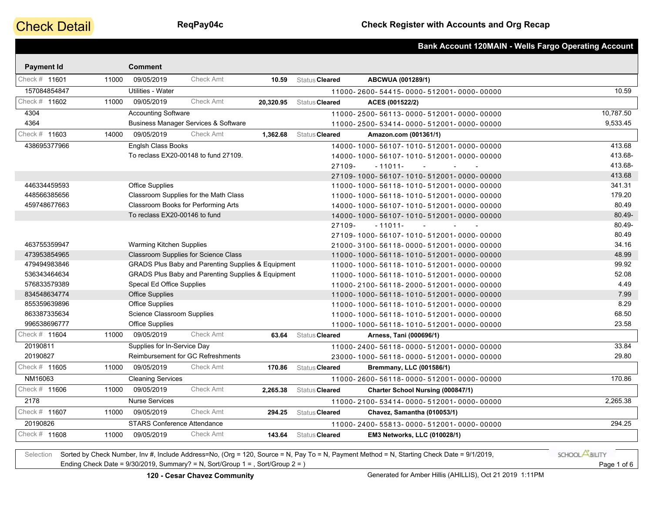# **Check Detail**

|                   |       |                                    |                                                               |           |                | <b>Bank Account 120MAIN - Wells Fargo Operating Account</b> |           |
|-------------------|-------|------------------------------------|---------------------------------------------------------------|-----------|----------------|-------------------------------------------------------------|-----------|
| <b>Payment Id</b> |       | <b>Comment</b>                     |                                                               |           |                |                                                             |           |
| Check # 11601     | 11000 | 09/05/2019                         | Check Amt                                                     | 10.59     | Status Cleared | ABCWUA (001289/1)                                           |           |
| 157084854847      |       | Utilities - Water                  |                                                               |           |                | 11000-2600-54415-0000-512001-0000-00000                     | 10.59     |
| Check # 11602     | 11000 | 09/05/2019                         | Check Amt                                                     | 20,320.95 | Status Cleared | ACES (001522/2)                                             |           |
| 4304              |       | <b>Accounting Software</b>         |                                                               |           |                | 11000-2500-56113-0000-512001-0000-00000                     | 10,787.50 |
| 4364              |       |                                    | <b>Business Manager Services &amp; Software</b>               |           |                |                                                             | 9,533.45  |
| Check # 11603     | 14000 | 09/05/2019                         | <b>Check Amt</b>                                              | 1,362.68  | Status Cleared | 11000-2500-53414-0000-512001-0000-00000                     |           |
|                   |       |                                    |                                                               |           |                | Amazon.com (001361/1)                                       |           |
| 438695377966      |       | Englsh Class Books                 |                                                               |           |                | 14000-1000-56107-1010-512001-0000-00000                     | 413.68    |
|                   |       |                                    | To reclass EX20-00148 to fund 27109.                          |           |                | 14000-1000-56107-1010-512001-0000-00000                     | 413.68-   |
|                   |       |                                    |                                                               |           | 27109-         | $-11011-$<br>$\sim$<br>$\sim$                               | 413.68-   |
|                   |       |                                    |                                                               |           |                | 27109-1000-56107-1010-512001-0000-00000                     | 413.68    |
| 446334459593      |       | Office Supplies                    |                                                               |           |                | 11000-1000-56118-1010-512001-0000-00000                     | 341.31    |
| 448566385656      |       |                                    | Classroom Supplies for the Math Class                         |           |                | 11000-1000-56118-1010-512001-0000-00000                     | 179.20    |
| 459748677663      |       |                                    | Classroom Books for Performing Arts                           |           |                | 14000-1000-56107-1010-512001-0000-00000                     | 80.49     |
|                   |       | To reclass EX20-00146 to fund      |                                                               |           |                | 14000-1000-56107-1010-512001-0000-00000                     | 80.49-    |
|                   |       |                                    |                                                               |           | 27109-         | $-11011-$<br>$\sim$                                         | 80.49-    |
|                   |       |                                    |                                                               |           |                | 27109-1000-56107-1010-512001-0000-00000                     | 80.49     |
| 463755359947      |       | <b>Warming Kitchen Supplies</b>    |                                                               |           |                | 21000-3100-56118-0000-512001-0000-00000                     | 34.16     |
| 473953854965      |       |                                    | Classroom Supplies for Science Class                          |           |                | 11000-1000-56118-1010-512001-0000-00000                     | 48.99     |
| 479494983846      |       |                                    | <b>GRADS Plus Baby and Parenting Supplies &amp; Equipment</b> |           |                | 11000-1000-56118-1010-512001-0000-00000                     | 99.92     |
| 536343464634      |       |                                    | <b>GRADS Plus Baby and Parenting Supplies &amp; Equipment</b> |           |                | 11000-1000-56118-1010-512001-0000-00000                     | 52.08     |
| 576833579389      |       | Specal Ed Office Supplies          |                                                               |           |                | 11000-2100-56118-2000-512001-0000-00000                     | 4.49      |
| 834548634774      |       | <b>Office Supplies</b>             |                                                               |           |                | 11000-1000-56118-1010-512001-0000-00000                     | 7.99      |
| 855359639896      |       | Office Supplies                    |                                                               |           |                | 11000-1000-56118-1010-512001-0000-00000                     | 8.29      |
| 863387335634      |       | Science Classroom Supplies         |                                                               |           |                | 11000-1000-56118-1010-512001-0000-00000                     | 68.50     |
| 996538696777      |       | <b>Office Supplies</b>             |                                                               |           |                | 11000-1000-56118-1010-512001-0000-00000                     | 23.58     |
| Check # 11604     | 11000 | 09/05/2019                         | Check Amt                                                     | 63.64     | Status Cleared | Arness, Tani (000696/1)                                     |           |
| 20190811          |       | Supplies for In-Service Day        |                                                               |           |                | 11000-2400-56118-0000-512001-0000-00000                     | 33.84     |
| 20190827          |       |                                    | Reimbursement for GC Refreshments                             |           |                | 23000-1000-56118-0000-512001-0000-00000                     | 29.80     |
| Check # 11605     | 11000 | 09/05/2019                         | <b>Check Amt</b>                                              | 170.86    | Status Cleared | Bremmany, LLC (001586/1)                                    |           |
| NM16063           |       | <b>Cleaning Services</b>           |                                                               |           |                | 11000-2600-56118-0000-512001-0000-00000                     | 170.86    |
| Check # 11606     | 11000 | 09/05/2019                         | <b>Check Amt</b>                                              | 2,265.38  | Status Cleared | Charter School Nursing (000847/1)                           |           |
| 2178              |       | <b>Nurse Services</b>              |                                                               |           |                | 11000-2100-53414-0000-512001-0000-00000                     | 2,265.38  |
| Check # 11607     | 11000 | 09/05/2019                         | <b>Check Amt</b>                                              | 294.25    | Status Cleared | Chavez, Samantha (010053/1)                                 |           |
| 20190826          |       | <b>STARS Conference Attendance</b> |                                                               |           |                | 11000-2400-55813-0000-512001-0000-00000                     | 294.25    |
| Check # 11608     | 11000 | 09/05/2019                         | Check Amt                                                     | 143.64    | Status Cleared | EM3 Networks, LLC (010028/1)                                |           |

Selection Sorted by Check Number, Inv #, Include Address=No, (Org = 120, Source = N, Pay To = N, Payment Method = N, Starting Check Date = 9/1/2019, Ending Check Date = 9/30/2019, Summary? = N, Sort/Group 1 = , Sort/Group 2 = ) Page 1 of 6

SCHOOL **ABILITY**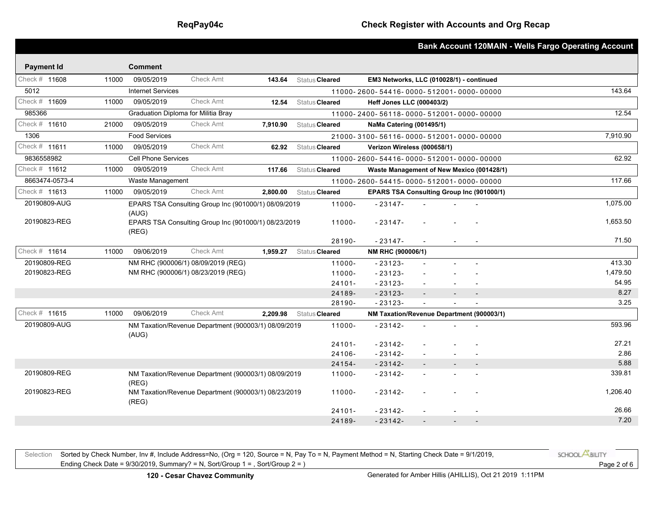|                   |       |                                     |                                                      |          |                |                                           |                          |                | <b>Bank Account 120MAIN - Wells Fargo Operating Account</b> |
|-------------------|-------|-------------------------------------|------------------------------------------------------|----------|----------------|-------------------------------------------|--------------------------|----------------|-------------------------------------------------------------|
| <b>Payment Id</b> |       | <b>Comment</b>                      |                                                      |          |                |                                           |                          |                |                                                             |
| Check # 11608     | 11000 | 09/05/2019                          | <b>Check Amt</b>                                     | 143.64   | Status Cleared | EM3 Networks, LLC (010028/1) - continued  |                          |                |                                                             |
| 5012              |       | <b>Internet Services</b>            |                                                      |          |                | 11000-2600-54416-0000-512001-0000-00000   |                          |                | 143.64                                                      |
| Check # 11609     | 11000 | 09/05/2019                          | Check Amt                                            | 12.54    | Status Cleared | Heff Jones LLC (000403/2)                 |                          |                |                                                             |
| 985366            |       | Graduation Diploma for Militia Bray |                                                      |          |                | 11000-2400-56118-0000-512001-0000-00000   |                          |                | 12.54                                                       |
| Check # 11610     | 21000 | 09/05/2019                          | Check Amt                                            | 7.910.90 | Status Cleared | NaMa Catering (001495/1)                  |                          |                |                                                             |
| 1306              |       | <b>Food Services</b>                |                                                      |          |                | 21000-3100-56116-0000-512001-0000-00000   |                          |                | 7,910.90                                                    |
| Check # 11611     | 11000 | 09/05/2019                          | <b>Check Amt</b>                                     | 62.92    | Status Cleared | Verizon Wireless (000658/1)               |                          |                |                                                             |
| 9836558982        |       | <b>Cell Phone Services</b>          |                                                      |          |                | 11000-2600-54416-0000-512001-0000-00000   |                          |                | 62.92                                                       |
| Check # 11612     | 11000 | 09/05/2019                          | <b>Check Amt</b>                                     | 117.66   | Status Cleared | Waste Management of New Mexico (001428/1) |                          |                |                                                             |
| 8663474-0573-4    |       | Waste Management                    |                                                      |          |                | 11000-2600-54415-0000-512001-0000-00000   |                          |                | 117.66                                                      |
| Check # 11613     | 11000 | 09/05/2019                          | Check Amt                                            | 2.800.00 | Status Cleared | EPARS TSA Consulting Group Inc (901000/1) |                          |                |                                                             |
| 20190809-AUG      |       |                                     | EPARS TSA Consulting Group Inc (901000/1) 08/09/2019 |          | 11000-         | $-23147-$                                 |                          |                | 1,075.00                                                    |
|                   |       | (AUG)                               |                                                      |          |                |                                           |                          |                |                                                             |
| 20190823-REG      |       | (REG)                               | EPARS TSA Consulting Group Inc (901000/1) 08/23/2019 |          | 11000-         | $-23147-$                                 |                          |                | 1,653.50                                                    |
|                   |       |                                     |                                                      |          | 28190-         | $-23147-$                                 |                          |                | 71.50                                                       |
| Check # 11614     | 11000 | 09/06/2019                          | <b>Check Amt</b>                                     | 1,959.27 | Status Cleared | NM RHC (900006/1)                         |                          |                |                                                             |
| 20190809-REG      |       |                                     | NM RHC (900006/1) 08/09/2019 (REG)                   |          | 11000-         | $-23123-$                                 | $\sim$                   |                | 413.30                                                      |
| 20190823-REG      |       |                                     | NM RHC (900006/1) 08/23/2019 (REG)                   |          | 11000-         | $-23123-$                                 |                          |                | 1,479.50                                                    |
|                   |       |                                     |                                                      |          | $24101 -$      | $-23123-$                                 |                          |                | 54.95                                                       |
|                   |       |                                     |                                                      |          | 24189-         | $-23123-$                                 | $\overline{\phantom{a}}$ | $\overline{a}$ | 8.27                                                        |
|                   |       |                                     |                                                      |          | 28190-         | $-23123-$                                 |                          |                | 3.25                                                        |
| Check # 11615     | 11000 | 09/06/2019                          | <b>Check Amt</b>                                     | 2,209.98 | Status Cleared | NM Taxation/Revenue Department (900003/1) |                          |                |                                                             |
| 20190809-AUG      |       | (AUG)                               | NM Taxation/Revenue Department (900003/1) 08/09/2019 |          | 11000-         | $-23142-$                                 |                          |                | 593.96                                                      |
|                   |       |                                     |                                                      |          | $24101 -$      | $-23142-$                                 |                          |                | 27.21                                                       |
|                   |       |                                     |                                                      |          | 24106-         | $-23142-$                                 |                          |                | 2.86                                                        |
|                   |       |                                     |                                                      |          | 24154-         | $-23142-$                                 |                          | $\blacksquare$ | 5.88                                                        |
| 20190809-REG      |       | (REG)                               | NM Taxation/Revenue Department (900003/1) 08/09/2019 |          | 11000-         | $-23142-$                                 |                          |                | 339.81                                                      |
| 20190823-REG      |       | (REG)                               | NM Taxation/Revenue Department (900003/1) 08/23/2019 |          | 11000-         | $-23142-$                                 |                          |                | 1.206.40                                                    |
|                   |       |                                     |                                                      |          | $24101 -$      | $-23142-$                                 |                          |                | 26.66                                                       |
|                   |       |                                     |                                                      |          | 24189-         | $-23142-$                                 |                          |                | 7.20                                                        |

Selection Sorted by Check Number, Inv #, Include Address=No, (Org = 120, Source = N, Pay To = N, Payment Method = N, Starting Check Date = 9/1/2019, Ending Check Date = 9/30/2019, Summary? = N, Sort/Group 1 = , Sort/Group 2 = ) Page 2 of 6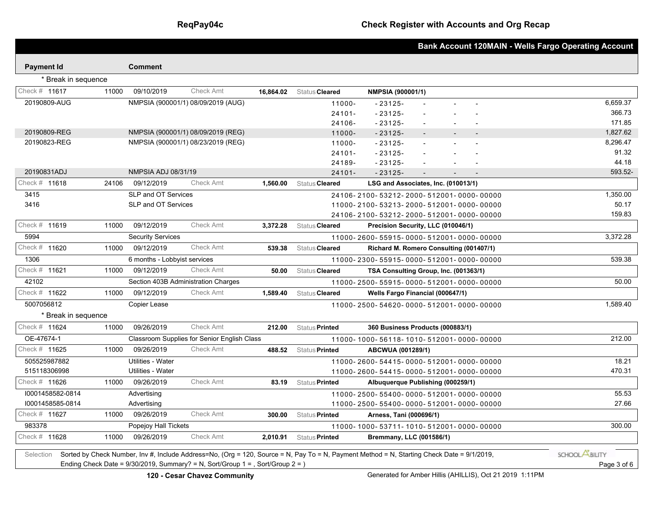|                     |       |                              |                                                    |           |                       |                                                                                                                                            | <b>Bank Account 120MAIN - Wells Fargo Operating Account</b> |
|---------------------|-------|------------------------------|----------------------------------------------------|-----------|-----------------------|--------------------------------------------------------------------------------------------------------------------------------------------|-------------------------------------------------------------|
| <b>Payment Id</b>   |       | <b>Comment</b>               |                                                    |           |                       |                                                                                                                                            |                                                             |
| * Break in sequence |       |                              |                                                    |           |                       |                                                                                                                                            |                                                             |
| Check # 11617       | 11000 | 09/10/2019                   | <b>Check Amt</b>                                   | 16,864.02 | Status Cleared        |                                                                                                                                            |                                                             |
|                     |       |                              |                                                    |           |                       | <b>NMPSIA (900001/1)</b>                                                                                                                   | 6.659.37                                                    |
| 20190809-AUG        |       |                              | NMPSIA (900001/1) 08/09/2019 (AUG)                 |           | 11000-                | $-23125-$                                                                                                                                  | 366.73                                                      |
|                     |       |                              |                                                    |           | $24101 -$<br>24106-   | $-23125-$<br>$-23125-$                                                                                                                     | 171.85                                                      |
| 20190809-REG        |       |                              | NMPSIA (900001/1) 08/09/2019 (REG)                 |           | 11000-                | $-23125-$                                                                                                                                  | 1,827.62                                                    |
| 20190823-REG        |       |                              | NMPSIA (900001/1) 08/23/2019 (REG)                 |           | 11000-                | $-23125-$                                                                                                                                  | 8,296.47                                                    |
|                     |       |                              |                                                    |           | $24101 -$             | $-23125-$                                                                                                                                  | 91.32                                                       |
|                     |       |                              |                                                    |           | 24189-                | $-23125-$                                                                                                                                  | 44.18                                                       |
| 20190831ADJ         |       | <b>NMPSIA ADJ 08/31/19</b>   |                                                    |           | $24101 -$             | $-23125-$                                                                                                                                  | 593.52-                                                     |
| Check # 11618       | 24106 | 09/12/2019                   | <b>Check Amt</b>                                   | 1,560.00  | Status Cleared        | LSG and Associates, Inc. (010013/1)                                                                                                        |                                                             |
| 3415                |       | SLP and OT Services          |                                                    |           |                       | 24106-2100-53212-2000-512001-0000-00000                                                                                                    | 1,350.00                                                    |
| 3416                |       | SLP and OT Services          |                                                    |           |                       | 11000-2100-53213-2000-512001-0000-00000                                                                                                    | 50.17                                                       |
|                     |       |                              |                                                    |           |                       | 24106-2100-53212-2000-512001-0000-00000                                                                                                    | 159.83                                                      |
| Check # 11619       | 11000 | 09/12/2019                   | <b>Check Amt</b>                                   | 3,372.28  | Status Cleared        | Precision Security, LLC (010046/1)                                                                                                         |                                                             |
| 5994                |       | <b>Security Services</b>     |                                                    |           |                       | 11000-2600-55915-0000-512001-0000-00000                                                                                                    | 3,372.28                                                    |
| Check # 11620       | 11000 | 09/12/2019                   | <b>Check Amt</b>                                   | 539.38    | Status Cleared        | Richard M. Romero Consulting (001407/1)                                                                                                    |                                                             |
| 1306                |       | 6 months - Lobbyist services |                                                    |           |                       | 11000-2300-55915-0000-512001-0000-00000                                                                                                    | 539.38                                                      |
| Check # 11621       | 11000 | 09/12/2019                   | <b>Check Amt</b>                                   | 50.00     | Status Cleared        | TSA Consulting Group, Inc. (001363/1)                                                                                                      |                                                             |
| 42102               |       |                              | Section 403B Administration Charges                |           |                       | 11000-2500-55915-0000-512001-0000-00000                                                                                                    | 50.00                                                       |
| Check # 11622       | 11000 | 09/12/2019                   | <b>Check Amt</b>                                   | 1,589.40  | Status Cleared        | Wells Fargo Financial (000647/1)                                                                                                           |                                                             |
| 5007056812          |       | Copier Lease                 |                                                    |           |                       | 11000-2500-54620-0000-512001-0000-00000                                                                                                    | 1,589.40                                                    |
| * Break in sequence |       |                              |                                                    |           |                       |                                                                                                                                            |                                                             |
| Check # 11624       | 11000 | 09/26/2019                   | <b>Check Amt</b>                                   | 212.00    | Status <b>Printed</b> | 360 Business Products (000883/1)                                                                                                           |                                                             |
| OE-47674-1          |       |                              | <b>Classroom Supplies for Senior English Class</b> |           |                       | 11000-1000-56118-1010-512001-0000-00000                                                                                                    | 212.00                                                      |
| Check # 11625       | 11000 | 09/26/2019                   | <b>Check Amt</b>                                   | 488.52    | Status <b>Printed</b> | ABCWUA (001289/1)                                                                                                                          |                                                             |
| 505525987882        |       | Utilities - Water            |                                                    |           |                       | 11000-2600-54415-0000-512001-0000-00000                                                                                                    | 18.21                                                       |
| 515118306998        |       | <b>Utilities - Water</b>     |                                                    |           |                       | 11000-2600-54415-0000-512001-0000-00000                                                                                                    | 470.31                                                      |
| Check # 11626       | 11000 | 09/26/2019                   | <b>Check Amt</b>                                   | 83.19     | Status Printed        | Albuquerque Publishing (000259/1)                                                                                                          |                                                             |
| 10001458582-0814    |       | Advertising                  |                                                    |           |                       | 11000-2500-55400-0000-512001-0000-00000                                                                                                    | 55.53                                                       |
| 10001458585-0814    |       | Advertising                  |                                                    |           |                       | 11000-2500-55400-0000-512001-0000-00000                                                                                                    | 27.66                                                       |
| Check # 11627       | 11000 | 09/26/2019                   | <b>Check Amt</b>                                   | 300.00    | Status <b>Printed</b> | Arness, Tani (000696/1)                                                                                                                    |                                                             |
| 983378              |       | Popejoy Hall Tickets         |                                                    |           |                       | 11000-1000-53711-1010-512001-0000-00000                                                                                                    | 300.00                                                      |
| Check # 11628       | 11000 | 09/26/2019                   | <b>Check Amt</b>                                   | 2,010.91  | Status <b>Printed</b> | Bremmany, LLC (001586/1)                                                                                                                   |                                                             |
| Selection           |       |                              |                                                    |           |                       | Sorted by Check Number, Inv #, Include Address=No, (Org = 120, Source = N, Pay To = N, Payment Method = N, Starting Check Date = 9/1/2019, | SCHOOL <b>ABILITY</b>                                       |

Ending Check Date = 9/30/2019, Summary? = N, Sort/Group 1 = , Sort/Group 2 = ) Page 3 of 6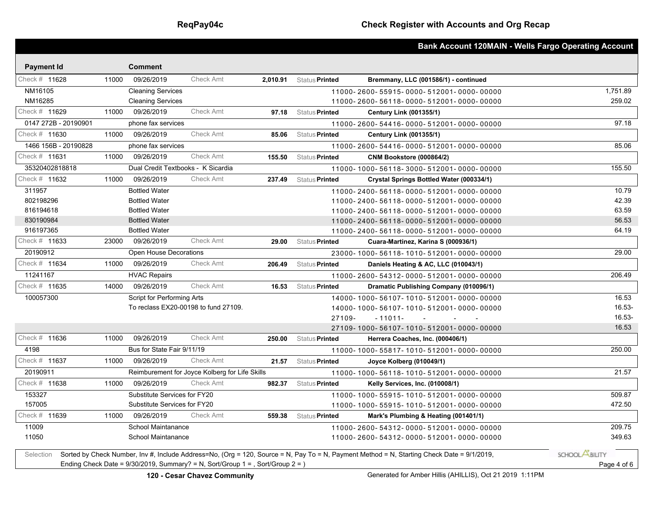|                                                                                   |             |                                      |                                                |        |                         | <b>Bank Account 120MAIN - Wells Fargo Operating Account</b>                                                                                |                       |
|-----------------------------------------------------------------------------------|-------------|--------------------------------------|------------------------------------------------|--------|-------------------------|--------------------------------------------------------------------------------------------------------------------------------------------|-----------------------|
| <b>Payment Id</b>                                                                 |             | <b>Comment</b>                       |                                                |        |                         |                                                                                                                                            |                       |
| Check # 11628                                                                     | 11000       | 09/26/2019                           | Check Amt                                      |        | 2,010.91 Status Printed | Bremmany, LLC (001586/1) - continued                                                                                                       |                       |
| NM16105                                                                           |             | <b>Cleaning Services</b>             |                                                |        |                         | 11000-2600-55915-0000-512001-0000-00000                                                                                                    | 1,751.89              |
| NM16285                                                                           |             | <b>Cleaning Services</b>             |                                                |        |                         | 11000-2600-56118-0000-512001-0000-00000                                                                                                    | 259.02                |
| Check # 11629                                                                     | 11000       | 09/26/2019                           | Check Amt                                      | 97.18  | Status Printed          | <b>Century Link (001355/1)</b>                                                                                                             |                       |
| 0147 272B - 20190901                                                              |             | phone fax services                   |                                                |        |                         | 11000-2600-54416-0000-512001-0000-00000                                                                                                    | 97.18                 |
| Check # 11630                                                                     | 11000       | 09/26/2019                           | Check Amt                                      | 85.06  | Status Printed          | <b>Century Link (001355/1)</b>                                                                                                             |                       |
| 1466 156B - 20190828                                                              |             | phone fax services                   |                                                |        |                         | 11000-2600-54416-0000-512001-0000-00000                                                                                                    | 85.06                 |
| Check # 11631                                                                     | 11000       | 09/26/2019                           | Check Amt                                      | 155.50 | Status <b>Printed</b>   | <b>CNM Bookstore (000864/2)</b>                                                                                                            |                       |
| 35320402818818                                                                    |             | Dual Credit Textbooks - K Sicardia   |                                                |        |                         | 11000-1000-56118-3000-512001-0000-00000                                                                                                    | 155.50                |
| Check # 11632                                                                     | 11000       | 09/26/2019                           | Check Amt                                      | 237.49 | Status Printed          | Crystal Springs Bottled Water (000334/1)                                                                                                   |                       |
| 311957                                                                            |             | <b>Bottled Water</b>                 |                                                |        |                         | 11000-2400-56118-0000-512001-0000-00000                                                                                                    | 10.79                 |
| 802198296                                                                         |             | <b>Bottled Water</b>                 |                                                |        |                         | 11000-2400-56118-0000-512001-0000-00000                                                                                                    | 42.39                 |
| 816194618                                                                         |             | <b>Bottled Water</b>                 |                                                |        |                         | 11000-2400-56118-0000-512001-0000-00000                                                                                                    | 63.59                 |
| 830190984                                                                         |             | <b>Bottled Water</b>                 |                                                |        |                         | 11000-2400-56118-0000-512001-0000-00000                                                                                                    | 56.53                 |
| 916197365                                                                         |             | <b>Bottled Water</b>                 |                                                |        |                         | 11000-2400-56118-0000-512001-0000-00000                                                                                                    | 64.19                 |
| Check # 11633                                                                     | 23000       | 09/26/2019                           | <b>Check Amt</b>                               | 29.00  | Status <b>Printed</b>   | Cuara-Martinez, Karina S (000936/1)                                                                                                        |                       |
| 20190912                                                                          |             | <b>Open House Decorations</b>        |                                                |        |                         | 23000-1000-56118-1010-512001-0000-00000                                                                                                    | 29.00                 |
| Check # 11634                                                                     | 11000       | 09/26/2019                           | <b>Check Amt</b>                               | 206.49 | Status <b>Printed</b>   | Daniels Heating & AC, LLC (010043/1)                                                                                                       |                       |
| 11241167                                                                          |             | <b>HVAC Repairs</b>                  |                                                |        |                         | 11000-2600-54312-0000-512001-0000-00000                                                                                                    | 206.49                |
| Check # 11635                                                                     | 14000       | 09/26/2019                           | <b>Check Amt</b>                               | 16.53  | Status Printed          | <b>Dramatic Publishing Company (010096/1)</b>                                                                                              |                       |
| 100057300                                                                         |             | <b>Script for Performing Arts</b>    |                                                |        |                         | 14000-1000-56107-1010-512001-0000-00000                                                                                                    | 16.53                 |
|                                                                                   |             | To reclass EX20-00198 to fund 27109. |                                                |        |                         | 14000-1000-56107-1010-512001-0000-00000                                                                                                    | 16.53-                |
|                                                                                   |             |                                      |                                                |        | 27109-                  | - 11011-<br>$\sim 100$<br>$\sim$                                                                                                           | 16.53-                |
|                                                                                   |             |                                      |                                                |        |                         | 27109-1000-56107-1010-512001-0000-00000                                                                                                    | 16.53                 |
| Check # 11636                                                                     | 11000       | 09/26/2019                           | <b>Check Amt</b>                               | 250.00 | Status <b>Printed</b>   | Herrera Coaches, Inc. (000406/1)                                                                                                           |                       |
| 4198                                                                              |             | Bus for State Fair 9/11/19           |                                                |        |                         | 11000-1000-55817-1010-512001-0000-00000                                                                                                    | 250.00                |
| Check # 11637                                                                     | 11000       | 09/26/2019                           | Check Amt                                      | 21.57  | Status <b>Printed</b>   | Joyce Kolberg (010049/1)                                                                                                                   |                       |
| 20190911                                                                          |             |                                      | Reimburement for Joyce Kolberg for Life Skills |        |                         | 11000-1000-56118-1010-512001-0000-00000                                                                                                    | 21.57                 |
| Check # 11638                                                                     | 11000       | 09/26/2019                           | <b>Check Amt</b>                               | 982.37 | Status Printed          | <b>Kelly Services, Inc. (010008/1)</b>                                                                                                     |                       |
| 153327                                                                            |             | Substitute Services for FY20         |                                                |        |                         | 11000-1000-55915-1010-512001-0000-00000                                                                                                    | 509.87                |
| 157005                                                                            |             | Substitute Services for FY20         |                                                |        |                         | 11000-1000-55915-1010-512001-0000-00000                                                                                                    | 472.50                |
| Check # 11639                                                                     | 11000       | 09/26/2019                           | Check Amt                                      | 559.38 | Status <b>Printed</b>   | Mark's Plumbing & Heating (001401/1)                                                                                                       |                       |
| 11009                                                                             |             | School Maintanance                   |                                                |        |                         | 11000-2600-54312-0000-512001-0000-00000                                                                                                    | 209.75                |
| 11050                                                                             |             | School Maintanance                   |                                                |        |                         | 11000-2600-54312-0000-512001-0000-00000                                                                                                    | 349.63                |
| Selection                                                                         |             |                                      |                                                |        |                         | Sorted by Check Number, Inv #, Include Address=No, (Org = 120, Source = N, Pay To = N, Payment Method = N, Starting Check Date = 9/1/2019, | SCHOOL <b>ABILITY</b> |
| Ending Check Date = $9/30/2019$ , Summary? = N, Sort/Group 1 = , Sort/Group 2 = ) | Page 4 of 6 |                                      |                                                |        |                         |                                                                                                                                            |                       |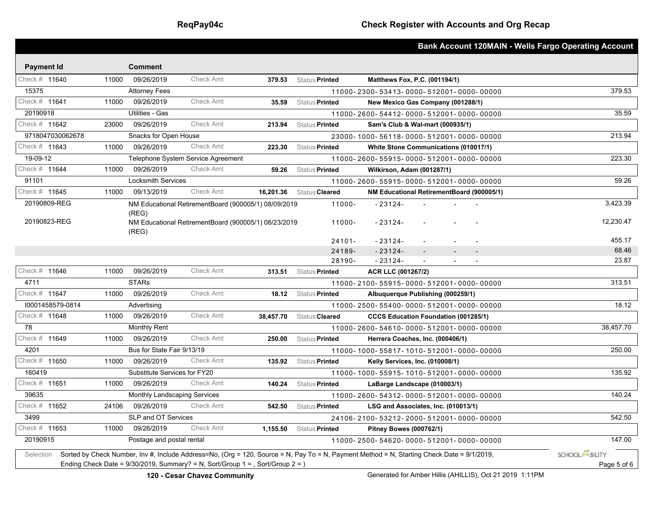|                                                                                   |             |                                     |                                                      |           |                       | <b>Bank Account 120MAIN - Wells Fargo Operating Account</b>                                                                                |                       |
|-----------------------------------------------------------------------------------|-------------|-------------------------------------|------------------------------------------------------|-----------|-----------------------|--------------------------------------------------------------------------------------------------------------------------------------------|-----------------------|
| <b>Payment Id</b>                                                                 |             | <b>Comment</b>                      |                                                      |           |                       |                                                                                                                                            |                       |
| Check # 11640                                                                     | 11000       | 09/26/2019                          | <b>Check Amt</b>                                     | 379.53    | Status <b>Printed</b> | Matthews Fox, P.C. (001194/1)                                                                                                              |                       |
| 15375                                                                             |             | <b>Attorney Fees</b>                |                                                      |           |                       | 11000-2300-53413-0000-512001-0000-00000                                                                                                    | 379.53                |
| Check # 11641                                                                     | 11000       | 09/26/2019                          | <b>Check Amt</b>                                     | 35.59     | Status Printed        | New Mexico Gas Company (001288/1)                                                                                                          |                       |
| 20190918                                                                          |             | Utilities - Gas                     |                                                      |           |                       | 11000-2600-54412-0000-512001-0000-00000                                                                                                    | 35.59                 |
| Check # 11642                                                                     | 23000       | 09/26/2019                          | <b>Check Amt</b>                                     | 213.94    | Status <b>Printed</b> | Sam's Club & Wal-mart (000935/1)                                                                                                           |                       |
| 9718047030062678                                                                  |             | Snacks for Open House               |                                                      |           |                       | 23000-1000-56118-0000-512001-0000-00000                                                                                                    | 213.94                |
| Check # 11643                                                                     | 11000       | 09/26/2019                          | <b>Check Amt</b>                                     | 223.30    | Status <b>Printed</b> | <b>White Stone Communications (010017/1)</b>                                                                                               |                       |
| 19-09-12                                                                          |             |                                     | Telephone System Service Agreement                   |           |                       | 11000-2600-55915-0000-512001-0000-00000                                                                                                    | 223.30                |
| Check # 11644                                                                     | 11000       | 09/26/2019                          | <b>Check Amt</b>                                     | 59.26     | Status Printed        | Wilkirson, Adam (001287/1)                                                                                                                 |                       |
| 91101                                                                             |             | <b>Locksmith Services</b>           |                                                      |           |                       | 11000-2600-55915-0000-512001-0000-00000                                                                                                    | 59.26                 |
| Check # 11645                                                                     | 11000       | 09/13/2019                          | <b>Check Amt</b>                                     | 16,201.36 | Status Cleared        | NM Educational RetirementBoard (900005/1)                                                                                                  |                       |
| 20190809-REG                                                                      |             | (REG)                               | NM Educational RetirementBoard (900005/1) 08/09/2019 |           | 11000-                | $-23124-$                                                                                                                                  | 3,423.39              |
| 20190823-REG                                                                      |             | (REG)                               | NM Educational RetirementBoard (900005/1) 08/23/2019 |           | 11000-                | $-23124-$                                                                                                                                  | 12,230.47             |
|                                                                                   |             |                                     |                                                      |           | $24101 -$             | $-23124-$                                                                                                                                  | 455.17                |
|                                                                                   |             |                                     |                                                      |           | 24189-                | $-23124-$                                                                                                                                  | 68.46                 |
|                                                                                   |             |                                     |                                                      |           | 28190-                | $-23124-$<br>$\mathbf{L}$<br>$\blacksquare$                                                                                                | 23.87                 |
| Check # 11646                                                                     | 11000       | 09/26/2019                          | <b>Check Amt</b>                                     | 313.51    | Status <b>Printed</b> | ACR LLC (001267/2)                                                                                                                         |                       |
| 4711                                                                              |             | <b>STARs</b>                        |                                                      |           |                       | 11000-2100-55915-0000-512001-0000-00000                                                                                                    | 313.51                |
| Check # 11647                                                                     | 11000       | 09/26/2019                          | <b>Check Amt</b>                                     | 18.12     | Status Printed        | Albuquerque Publishing (000259/1)                                                                                                          |                       |
| 10001458579-0814                                                                  |             | Advertising                         |                                                      |           |                       | 11000-2500-55400-0000-512001-0000-00000                                                                                                    | 18.12                 |
| Check # 11648                                                                     | 11000       | 09/26/2019                          | <b>Check Amt</b>                                     | 38,457.70 | Status Cleared        | <b>CCCS Education Foundation (001285/1)</b>                                                                                                |                       |
| 78                                                                                |             | <b>Monthly Rent</b>                 |                                                      |           |                       | 11000-2600-54610-0000-512001-0000-00000                                                                                                    | 38,457.70             |
| Check # 11649                                                                     | 11000       | 09/26/2019                          | <b>Check Amt</b>                                     | 250.00    | Status <b>Printed</b> | Herrera Coaches, Inc. (000406/1)                                                                                                           |                       |
| 4201                                                                              |             | Bus for State Fair 9/13/19          |                                                      |           |                       | 11000-1000-55817-1010-512001-0000-00000                                                                                                    | 250.00                |
| Check # 11650                                                                     | 11000       | 09/26/2019                          | <b>Check Amt</b>                                     | 135.92    | Status Printed        | <b>Kelly Services, Inc. (010008/1)</b>                                                                                                     |                       |
| 160419                                                                            |             | Substitute Services for FY20        |                                                      |           |                       | 11000-1000-55915-1010-512001-0000-00000                                                                                                    | 135.92                |
| Check # 11651                                                                     | 11000       | 09/26/2019                          | <b>Check Amt</b>                                     | 140.24    | Status Printed        | LaBarge Landscape (010003/1)                                                                                                               |                       |
| 39635                                                                             |             | <b>Monthly Landscaping Services</b> |                                                      |           |                       | 11000-2600-54312-0000-512001-0000-00000                                                                                                    | 140.24                |
| Check # 11652                                                                     | 24106       | 09/26/2019                          | <b>Check Amt</b>                                     | 542.50    | Status Printed        | LSG and Associates, Inc. (010013/1)                                                                                                        |                       |
| 3499                                                                              |             | SLP and OT Services                 |                                                      |           |                       | 24106-2100-53212-2000-512001-0000-00000                                                                                                    | 542.50                |
| Check # 11653                                                                     | 11000       | 09/26/2019                          | Check Amt                                            | 1,155.50  | Status <b>Printed</b> | <b>Pitney Bowes (000762/1)</b>                                                                                                             |                       |
| 20190915                                                                          |             | Postage and postal rental           |                                                      |           |                       | 11000-2500-54620-0000-512001-0000-00000                                                                                                    | 147.00                |
| Selection                                                                         |             |                                     |                                                      |           |                       | Sorted by Check Number, Inv #, Include Address=No, (Org = 120, Source = N, Pay To = N, Payment Method = N, Starting Check Date = 9/1/2019, | SCHOOL <b>ABILITY</b> |
| Ending Check Date = $9/30/2019$ , Summary? = N, Sort/Group 1 = , Sort/Group 2 = ) | Page 5 of 6 |                                     |                                                      |           |                       |                                                                                                                                            |                       |